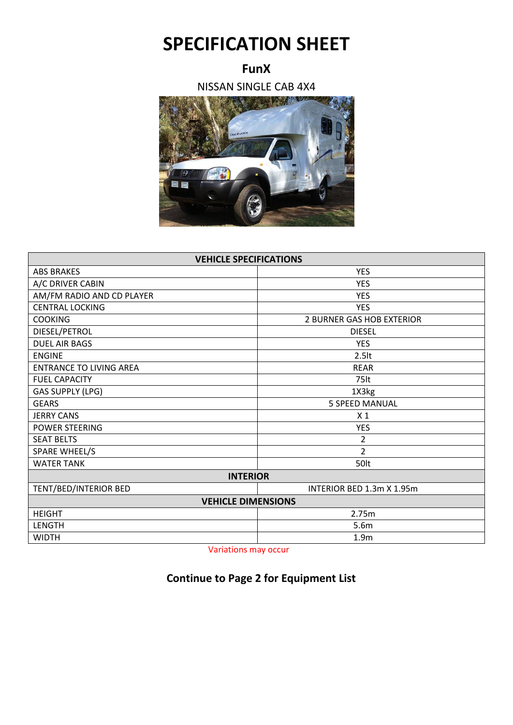## **SPECIFICATION SHEET**

## **FunX**

NISSAN SINGLE CAB 4X4



| <b>VEHICLE SPECIFICATIONS</b>  |                                  |
|--------------------------------|----------------------------------|
| <b>ABS BRAKES</b>              | <b>YES</b>                       |
| A/C DRIVER CABIN               | <b>YES</b>                       |
| AM/FM RADIO AND CD PLAYER      | <b>YES</b>                       |
| <b>CENTRAL LOCKING</b>         | <b>YES</b>                       |
| <b>COOKING</b>                 | <b>2 BURNER GAS HOB EXTERIOR</b> |
| DIESEL/PETROL                  | <b>DIESEL</b>                    |
| <b>DUEL AIR BAGS</b>           | <b>YES</b>                       |
| <b>ENGINE</b>                  | 2.5lt                            |
| <b>ENTRANCE TO LIVING AREA</b> | <b>REAR</b>                      |
| <b>FUEL CAPACITY</b>           | 75lt                             |
| <b>GAS SUPPLY (LPG)</b>        | 1X3kg                            |
| <b>GEARS</b>                   | <b>5 SPEED MANUAL</b>            |
| <b>JERRY CANS</b>              | X <sub>1</sub>                   |
| POWER STEERING                 | <b>YES</b>                       |
| <b>SEAT BELTS</b>              | $\overline{2}$                   |
| <b>SPARE WHEEL/S</b>           | 2                                |
| <b>WATER TANK</b>              | 50 <sub>lt</sub>                 |
| <b>INTERIOR</b>                |                                  |
| TENT/BED/INTERIOR BED          | INTERIOR BED 1.3m X 1.95m        |
| <b>VEHICLE DIMENSIONS</b>      |                                  |
| <b>HEIGHT</b>                  | 2.75m                            |
| <b>LENGTH</b>                  | 5.6m                             |
| <b>WIDTH</b>                   | 1.9 <sub>m</sub>                 |

Variations may occur

## **Continue to Page 2 for Equipment List**